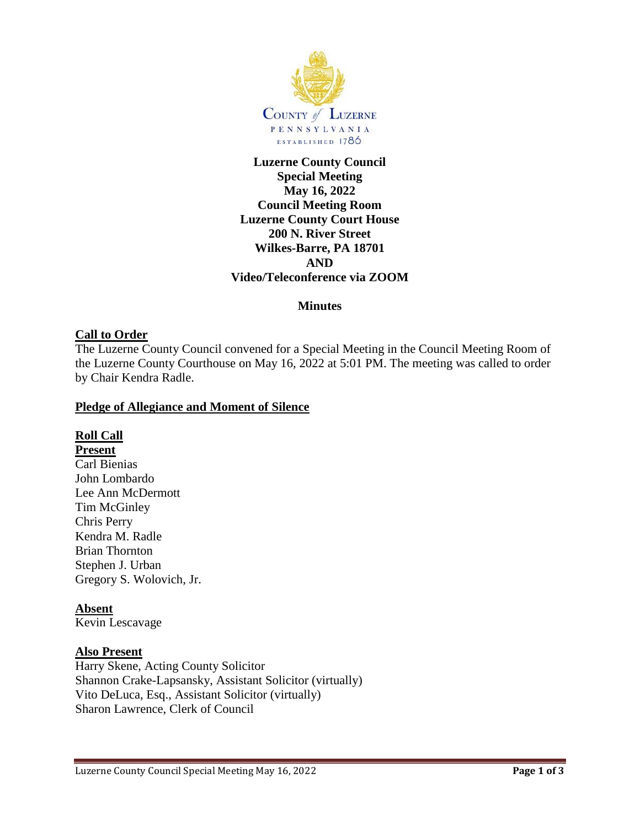

# **Luzerne County Council Special Meeting May 16, 2022 Council Meeting Room Luzerne County Court House 200 N. River Street Wilkes-Barre, PA 18701 AND Video/Teleconference via ZOOM**

#### **Minutes**

## **Call to Order**

The Luzerne County Council convened for a Special Meeting in the Council Meeting Room of the Luzerne County Courthouse on May 16, 2022 at 5:01 PM. The meeting was called to order by Chair Kendra Radle.

#### **Pledge of Allegiance and Moment of Silence**

#### **Roll Call**

**Present** Carl Bienias John Lombardo Lee Ann McDermott Tim McGinley Chris Perry Kendra M. Radle Brian Thornton Stephen J. Urban Gregory S. Wolovich, Jr.

#### **Absent**

Kevin Lescavage

#### **Also Present**

Harry Skene, Acting County Solicitor Shannon Crake-Lapsansky, Assistant Solicitor (virtually) Vito DeLuca, Esq., Assistant Solicitor (virtually) Sharon Lawrence, Clerk of Council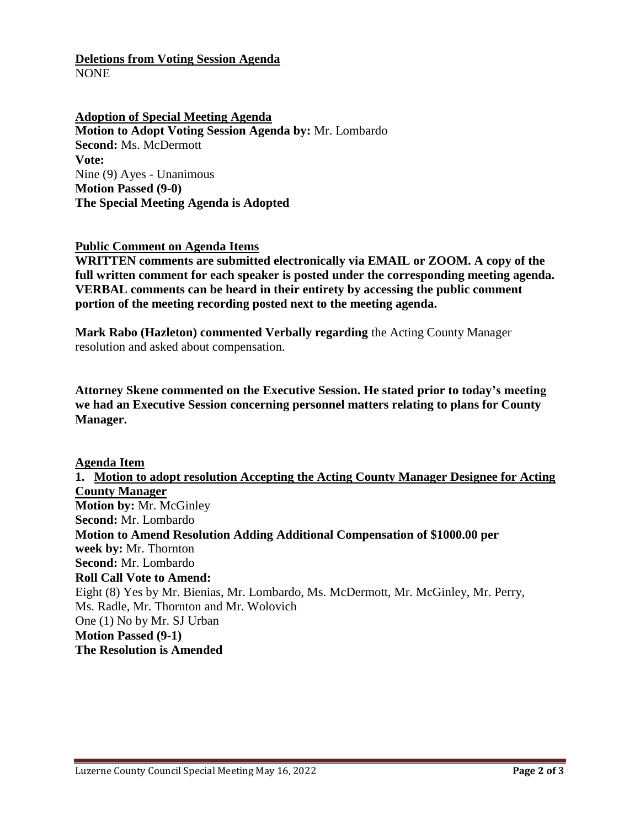### **Deletions from Voting Session Agenda** NONE

**Adoption of Special Meeting Agenda Motion to Adopt Voting Session Agenda by:** Mr. Lombardo **Second:** Ms. McDermott **Vote:** Nine (9) Ayes - Unanimous **Motion Passed (9-0) The Special Meeting Agenda is Adopted**

#### **Public Comment on Agenda Items**

**WRITTEN comments are submitted electronically via EMAIL or ZOOM. A copy of the full written comment for each speaker is posted under the corresponding meeting agenda. VERBAL comments can be heard in their entirety by accessing the public comment portion of the meeting recording posted next to the meeting agenda.**

**Mark Rabo (Hazleton) commented Verbally regarding** the Acting County Manager resolution and asked about compensation.

**Attorney Skene commented on the Executive Session. He stated prior to today's meeting we had an Executive Session concerning personnel matters relating to plans for County Manager.**

#### **Agenda Item**

**1. Motion to adopt resolution Accepting the Acting County Manager Designee for Acting County Manager Motion by:** Mr. McGinley **Second:** Mr. Lombardo **Motion to Amend Resolution Adding Additional Compensation of \$1000.00 per week by:** Mr. Thornton **Second:** Mr. Lombardo **Roll Call Vote to Amend:** Eight (8) Yes by Mr. Bienias, Mr. Lombardo, Ms. McDermott, Mr. McGinley, Mr. Perry, Ms. Radle, Mr. Thornton and Mr. Wolovich One (1) No by Mr. SJ Urban **Motion Passed (9-1) The Resolution is Amended**